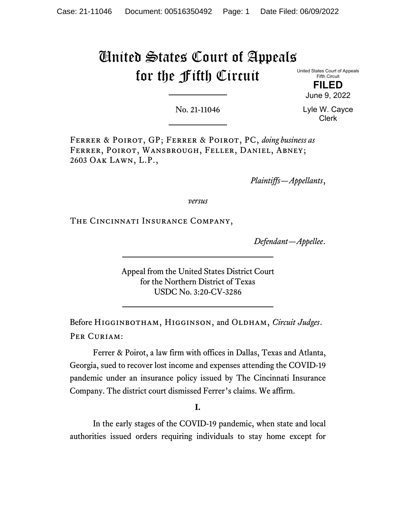# United States Court of Appeals for the Fifth Circuit

United States Court of Appeals Fifth Circuit

> **FILED** June 9, 2022

No. 21-11046

Lyle W. Cayce Clerk

Ferrer & Poirot, GP; Ferrer & Poirot, PC, *doing business as* Ferrer, Poirot, Wansbrough, Feller, Daniel, Abney; 2603 Oak Lawn, L.P.,

*Plaintiffs—Appellants*,

*versus*

The Cincinnati Insurance Company,

*Defendant—Appellee*.

Appeal from the United States District Court for the Northern District of Texas USDC No. 3:20-CV-3286

Before Higginbotham, Higginson, and Oldham, *Circuit Judges*. PER CURIAM:

Ferrer & Poirot, a law firm with offices in Dallas, Texas and Atlanta, Georgia, sued to recover lost income and expenses attending the COVID-19 pandemic under an insurance policy issued by The Cincinnati Insurance Company. The district court dismissed Ferrer's claims. We affirm.

**I.**

In the early stages of the COVID-19 pandemic, when state and local authorities issued orders requiring individuals to stay home except for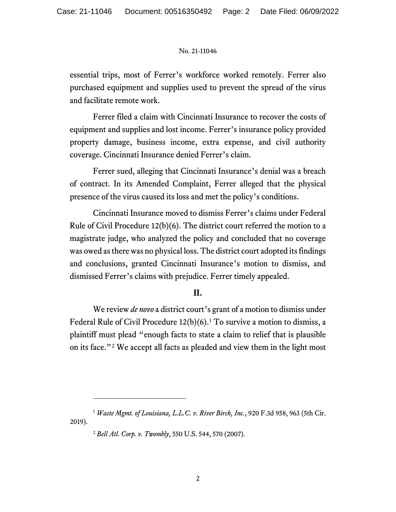essential trips, most of Ferrer's workforce worked remotely. Ferrer also purchased equipment and supplies used to prevent the spread of the virus and facilitate remote work.

Ferrer filed a claim with Cincinnati Insurance to recover the costs of equipment and supplies and lost income. Ferrer's insurance policy provided property damage, business income, extra expense, and civil authority coverage. Cincinnati Insurance denied Ferrer's claim.

Ferrer sued, alleging that Cincinnati Insurance's denial was a breach of contract. In its Amended Complaint, Ferrer alleged that the physical presence of the virus caused its loss and met the policy's conditions.

Cincinnati Insurance moved to dismiss Ferrer's claims under Federal Rule of Civil Procedure 12(b)(6). The district court referred the motion to a magistrate judge, who analyzed the policy and concluded that no coverage was owed as there was no physical loss. The district court adopted its findings and conclusions, granted Cincinnati Insurance's motion to dismiss, and dismissed Ferrer's claims with prejudice. Ferrer timely appealed.

# **II.**

We review *de novo* a district court's grant of a motion to dismiss under Federal Rule of Civil Procedure  $12(b)(6)$  $12(b)(6)$ .<sup>1</sup> To survive a motion to dismiss, a plaintiff must plead "enough facts to state a claim to relief that is plausible on its face."[2](#page-1-1) We accept all facts as pleaded and view them in the light most

<span id="page-1-1"></span><span id="page-1-0"></span><sup>1</sup> *Waste Mgmt. of Louisiana, L.L.C. v. River Birch, Inc.*, 920 F.3d 958, 963 (5th Cir. 2019).

<sup>2</sup> *Bell Atl. Corp. v. Twombly*, 550 U.S. 544, 570 (2007).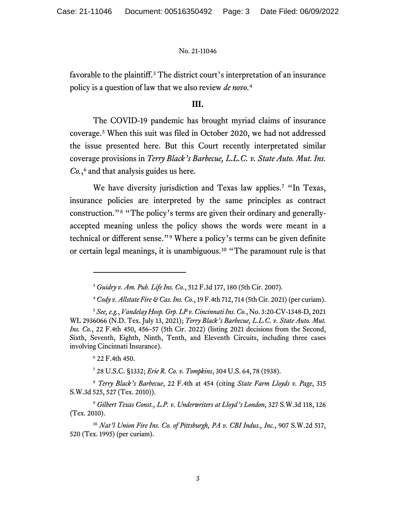favorable to the plaintiff.<sup>[3](#page-2-0)</sup> The district court's interpretation of an insurance policy is a question of law that we also review *de novo*. [4](#page-2-1)

# **III.**

The COVID-19 pandemic has brought myriad claims of insurance coverage. [5](#page-2-2) When this suit was filed in October 2020, we had not addressed the issue presented here. But this Court recently interpretated similar coverage provisions in *Terry Black's Barbecue, L.L.C. v. State Auto. Mut. Ins. Co.*, [6](#page-2-3) and that analysis guides us here.

We have diversity jurisdiction and Texas law applies.<sup>[7](#page-2-4)</sup> "In Texas, insurance policies are interpreted by the same principles as contract construction."[8](#page-2-5) "The policy's terms are given their ordinary and generallyaccepted meaning unless the policy shows the words were meant in a technical or different sense."[9](#page-2-6) Where a policy's terms can be given definite or certain legal meanings, it is unambiguous.[10](#page-2-7) "The paramount rule is that

<sup>6</sup> 22 F.4th 450.

<sup>7</sup> 28 U.S.C. §1332; *Erie R. Co. v. Tompkins*, 304 U.S. 64, 78 (1938).

<span id="page-2-5"></span><span id="page-2-4"></span><span id="page-2-3"></span><sup>8</sup> *Terry Black's Barbecue*, 22 F.4th at 454 (citing *State Farm Lloyds v. Page*, 315 S.W.3d 525, 527 (Tex. 2010)).

<sup>3</sup> *Guidry v. Am. Pub. Life Ins. Co.*, 512 F.3d 177, 180 (5th Cir. 2007).

<sup>4</sup> *Cody v. Allstate Fire & Cas. Ins. Co.*, 19 F.4th 712, 714 (5th Cir. 2021) (per curiam).

<span id="page-2-2"></span><span id="page-2-1"></span><span id="page-2-0"></span><sup>5</sup> *See,e.g.*, *Vandelay Hosp. Grp. LP v. Cincinnati Ins. Co.*, No. 3:20-CV-1348-D, 2021 WL 2936066 (N.D. Tex. July 13, 2021); *Terry Black's Barbecue, L.L.C. v. State Auto. Mut. Ins. Co.*, 22 F.4th 450, 456–57 (5th Cir. 2022) (listing 2021 decisions from the Second, Sixth, Seventh, Eighth, Ninth, Tenth, and Eleventh Circuits, including three cases involving Cincinnati Insurance).

<span id="page-2-6"></span><sup>9</sup> *Gilbert Texas Const., L.P. v. Underwriters at Lloyd's London*, 327 S.W.3d 118, 126 (Tex. 2010).

<span id="page-2-7"></span><sup>10</sup> *Nat'l Union Fire Ins. Co. of Pittsburgh, PA v. CBI Indus., Inc.*, 907 S.W.2d 517, 520 (Tex. 1995) (per curiam).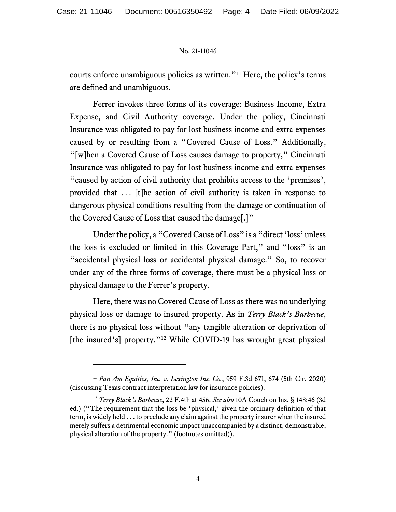courts enforce unambiguous policies as written."[11](#page-3-0) Here, the policy's terms are defined and unambiguous.

Ferrer invokes three forms of its coverage: Business Income, Extra Expense, and Civil Authority coverage. Under the policy, Cincinnati Insurance was obligated to pay for lost business income and extra expenses caused by or resulting from a "Covered Cause of Loss." Additionally, "[w]hen a Covered Cause of Loss causes damage to property," Cincinnati Insurance was obligated to pay for lost business income and extra expenses "caused by action of civil authority that prohibits access to the 'premises', provided that . . . [t]he action of civil authority is taken in response to dangerous physical conditions resulting from the damage or continuation of the Covered Cause of Loss that caused the damage[.]"

Under the policy, a "Covered Cause of Loss" is a "direct 'loss' unless the loss is excluded or limited in this Coverage Part," and "loss" is an "accidental physical loss or accidental physical damage." So, to recover under any of the three forms of coverage, there must be a physical loss or physical damage to the Ferrer's property.

Here, there was no Covered Cause of Loss as there was no underlying physical loss or damage to insured property. As in *Terry Black's Barbecue*, there is no physical loss without "any tangible alteration or deprivation of [the insured's] property."<sup>[12](#page-3-1)</sup> While COVID-19 has wrought great physical

<span id="page-3-0"></span><sup>11</sup> *Pan Am Equities, Inc. v. Lexington Ins. Co.*, 959 F.3d 671, 674 (5th Cir. 2020) (discussing Texas contract interpretation law for insurance policies).

<span id="page-3-1"></span><sup>12</sup> *Terry Black's Barbecue*, 22 F.4th at 456. *See also* 10A Couch on Ins. § 148:46 (3d ed.) ("The requirement that the loss be 'physical,' given the ordinary definition of that term, is widely held . . . to preclude any claim against the property insurer when the insured merely suffers a detrimental economic impact unaccompanied by a distinct, demonstrable, physical alteration of the property." (footnotes omitted)).